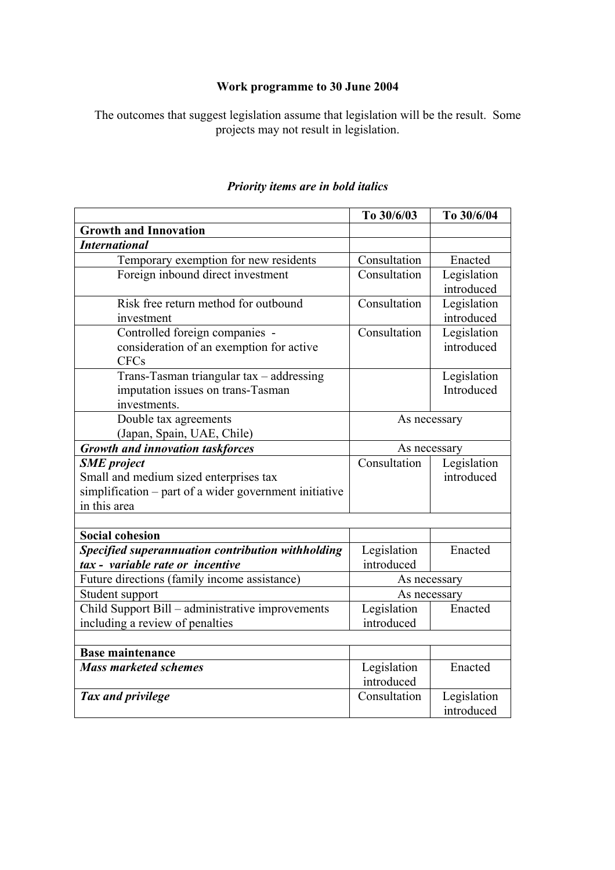## **Work programme to 30 June 2004**

The outcomes that suggest legislation assume that legislation will be the result. Some projects may not result in legislation.

|                                                        | To 30/6/03   | To 30/6/04  |
|--------------------------------------------------------|--------------|-------------|
| <b>Growth and Innovation</b>                           |              |             |
| <b>International</b>                                   |              |             |
| Temporary exemption for new residents                  | Consultation | Enacted     |
| Foreign inbound direct investment                      | Consultation | Legislation |
|                                                        |              | introduced  |
| Risk free return method for outbound                   | Consultation | Legislation |
| investment                                             |              | introduced  |
| Controlled foreign companies -                         | Consultation | Legislation |
| consideration of an exemption for active               |              | introduced  |
| <b>CFCs</b>                                            |              |             |
| Trans-Tasman triangular tax - addressing               |              | Legislation |
| imputation issues on trans-Tasman                      |              | Introduced  |
| investments.                                           |              |             |
| Double tax agreements                                  | As necessary |             |
| (Japan, Spain, UAE, Chile)                             |              |             |
| <b>Growth and innovation taskforces</b>                | As necessary |             |
| <b>SME</b> project                                     | Consultation | Legislation |
| Small and medium sized enterprises tax                 |              | introduced  |
| simplification – part of a wider government initiative |              |             |
| in this area                                           |              |             |
|                                                        |              |             |
| <b>Social cohesion</b>                                 |              |             |
| Specified superannuation contribution withholding      | Legislation  | Enacted     |
| tax - variable rate or incentive                       | introduced   |             |
| Future directions (family income assistance)           | As necessary |             |
| Student support                                        | As necessary |             |
| Child Support Bill – administrative improvements       | Legislation  | Enacted     |
| including a review of penalties                        | introduced   |             |
|                                                        |              |             |
| <b>Base maintenance</b>                                |              |             |
| <b>Mass marketed schemes</b>                           | Legislation  | Enacted     |
|                                                        | introduced   |             |
| Tax and privilege                                      | Consultation | Legislation |
|                                                        |              | introduced  |

## *Priority items are in bold italics*